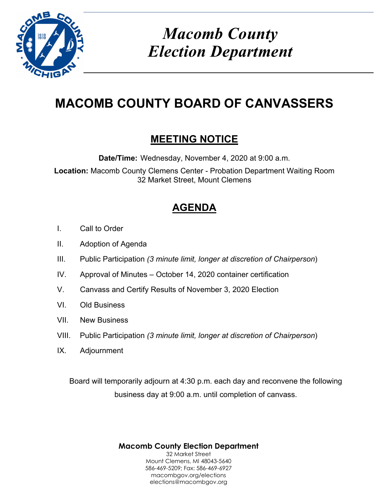

# *Macomb County Election Department*

## **MACOMB COUNTY BOARD OF CANVASSERS**

### **MEETING NOTICE**

**Date/Time:** Wednesday, November 4, 2020 at 9:00 a.m.

**Location:** Macomb County Clemens Center - Probation Department Waiting Room 32 Market Street, Mount Clemens

## **AGENDA**

- I. Call to Order
- II. Adoption of Agenda
- III. Public Participation *(3 minute limit, longer at discretion of Chairperson*)
- IV. Approval of Minutes October 14, 2020 container certification
- V. Canvass and Certify Results of November 3, 2020 Election
- VI. Old Business
- VII. New Business
- VIII. Public Participation *(3 minute limit, longer at discretion of Chairperson*)
- IX. Adjournment

Board will temporarily adjourn at 4:30 p.m. each day and reconvene the following business day at 9:00 a.m. until completion of canvass.

> **Macomb County Election Department**  32 Market Street Mount Clemens, MI 48043-5640 586-469-5209; Fax: 586-469-6927 macombgov.org/elections elections@macombgov.org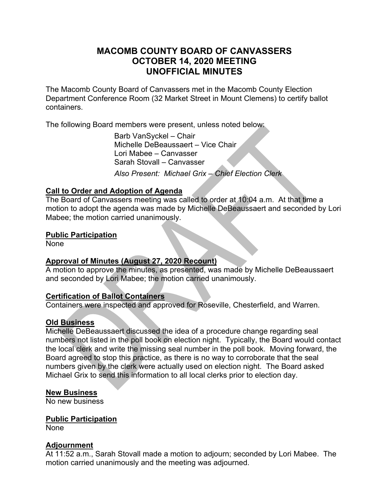#### **MACOMB COUNTY BOARD OF CANVASSERS OCTOBER 14, 2020 MEETING UNOFFICIAL MINUTES**

The Macomb County Board of Canvassers met in the Macomb County Election Department Conference Room (32 Market Street in Mount Clemens) to certify ballot containers.

The following Board members were present, unless noted below:

 Barb VanSyckel – Chair Michelle DeBeaussaert – Vice Chair Lori Mabee – Canvasser Sarah Stovall – Canvasser *Also Present: Michael Grix – Chief Election Clerk* 

#### **Call to Order and Adoption of Agenda**

The Board of Canvassers meeting was called to order at 10:04 a.m. At that time a motion to adopt the agenda was made by Michelle DeBeaussaert and seconded by Lori Mabee; the motion carried unanimously.

#### **Public Participation**

None

#### **Approval of Minutes (August 27, 2020 Recount)**

A motion to approve the minutes, as presented, was made by Michelle DeBeaussaert and seconded by Lori Mabee; the motion carried unanimously.

#### **Certification of Ballot Containers**

Containers were inspected and approved for Roseville, Chesterfield, and Warren.

#### **Old Business**

Michelle DeBeaussaert discussed the idea of a procedure change regarding seal numbers not listed in the poll book on election night. Typically, the Board would contact the local clerk and write the missing seal number in the poll book. Moving forward, the Board agreed to stop this practice, as there is no way to corroborate that the seal numbers given by the clerk were actually used on election night. The Board asked Michael Grix to send this information to all local clerks prior to election day.

#### **New Business**

No new business

#### **Public Participation**

None

#### **Adjournment**

At 11:52 a.m., Sarah Stovall made a motion to adjourn; seconded by Lori Mabee. The motion carried unanimously and the meeting was adjourned.